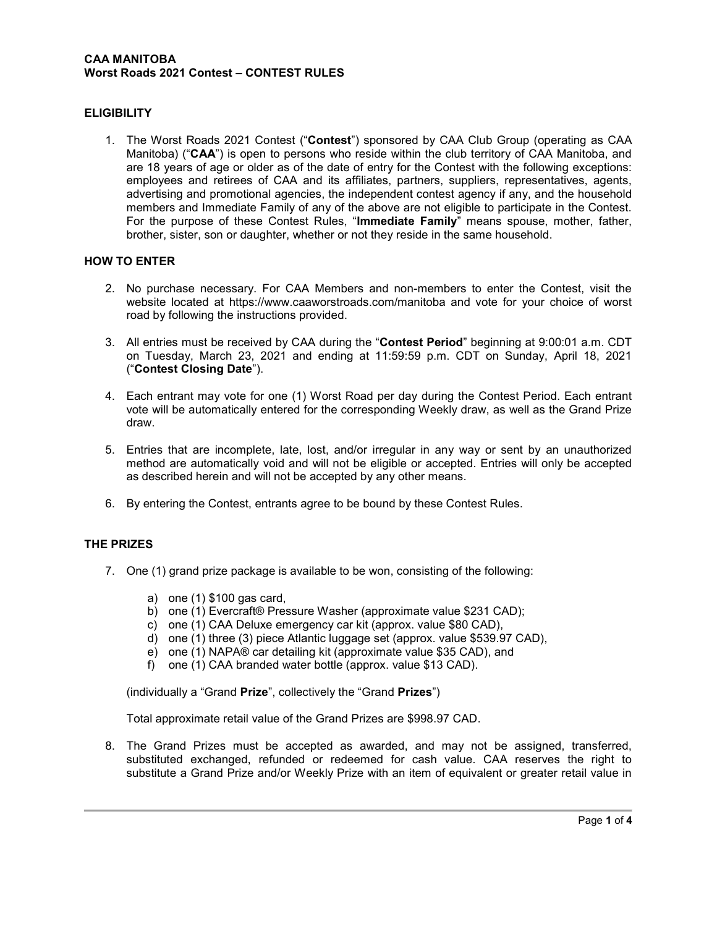#### CAA MANITOBA Worst Roads 2021 Contest – CONTEST RULES

### **ELIGIBILITY**

1. The Worst Roads 2021 Contest ("Contest") sponsored by CAA Club Group (operating as CAA Manitoba) ("CAA") is open to persons who reside within the club territory of CAA Manitoba, and are 18 years of age or older as of the date of entry for the Contest with the following exceptions: employees and retirees of CAA and its affiliates, partners, suppliers, representatives, agents, advertising and promotional agencies, the independent contest agency if any, and the household members and Immediate Family of any of the above are not eligible to participate in the Contest. For the purpose of these Contest Rules, "Immediate Family" means spouse, mother, father, brother, sister, son or daughter, whether or not they reside in the same household.

### HOW TO ENTER

- 2. No purchase necessary. For CAA Members and non-members to enter the Contest, visit the website located at https://www.caaworstroads.com/manitoba and vote for your choice of worst road by following the instructions provided.
- 3. All entries must be received by CAA during the "Contest Period" beginning at 9:00:01 a.m. CDT on Tuesday, March 23, 2021 and ending at 11:59:59 p.m. CDT on Sunday, April 18, 2021 ("Contest Closing Date").
- 4. Each entrant may vote for one (1) Worst Road per day during the Contest Period. Each entrant vote will be automatically entered for the corresponding Weekly draw, as well as the Grand Prize draw.
- 5. Entries that are incomplete, late, lost, and/or irregular in any way or sent by an unauthorized method are automatically void and will not be eligible or accepted. Entries will only be accepted as described herein and will not be accepted by any other means.
- 6. By entering the Contest, entrants agree to be bound by these Contest Rules.

# THE PRIZES

- 7. One (1) grand prize package is available to be won, consisting of the following:
	- a) one (1) \$100 gas card,
	- b) one (1) Evercraft® Pressure Washer (approximate value \$231 CAD);
	- c) one (1) CAA Deluxe emergency car kit (approx. value \$80 CAD),
	- d) one (1) three (3) piece Atlantic luggage set (approx. value \$539.97 CAD),
	- e) one (1) NAPA® car detailing kit (approximate value \$35 CAD), and
	- f) one (1) CAA branded water bottle (approx. value \$13 CAD).

(individually a "Grand Prize", collectively the "Grand Prizes")

Total approximate retail value of the Grand Prizes are \$998.97 CAD.

8. The Grand Prizes must be accepted as awarded, and may not be assigned, transferred, substituted exchanged, refunded or redeemed for cash value. CAA reserves the right to substitute a Grand Prize and/or Weekly Prize with an item of equivalent or greater retail value in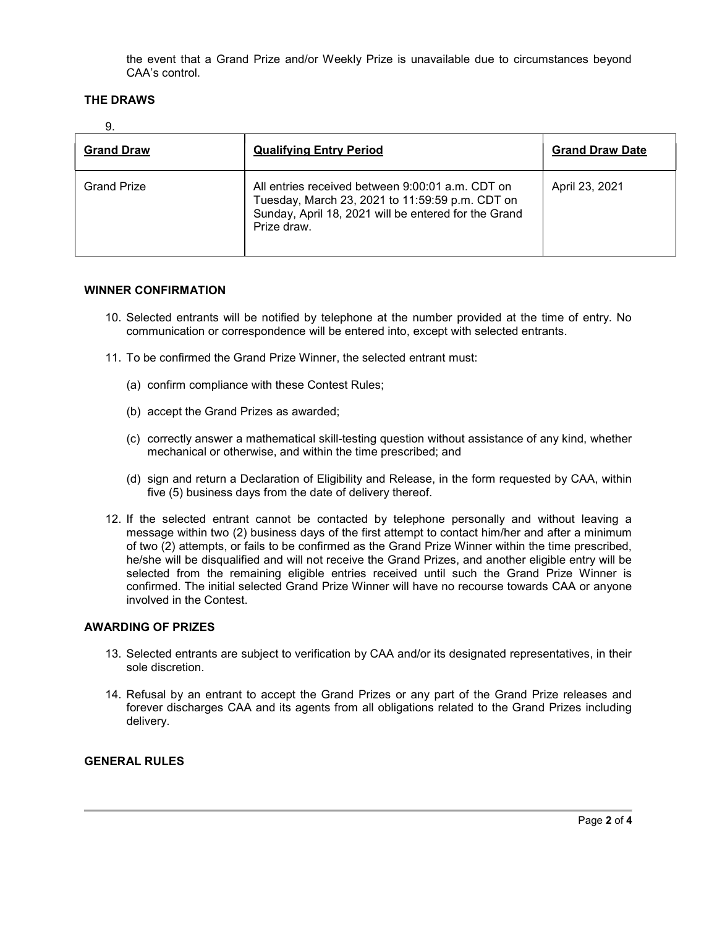the event that a Grand Prize and/or Weekly Prize is unavailable due to circumstances beyond CAA's control.

### THE DRAWS

| ۰.<br>×<br>v |
|--------------|
|--------------|

| <b>Grand Draw</b>  | <b>Qualifying Entry Period</b>                                                                                                                                             | <b>Grand Draw Date</b> |
|--------------------|----------------------------------------------------------------------------------------------------------------------------------------------------------------------------|------------------------|
| <b>Grand Prize</b> | All entries received between 9:00:01 a.m. CDT on<br>Tuesday, March 23, 2021 to 11:59:59 p.m. CDT on<br>Sunday, April 18, 2021 will be entered for the Grand<br>Prize draw. | April 23, 2021         |

#### WINNER CONFIRMATION

- 10. Selected entrants will be notified by telephone at the number provided at the time of entry. No communication or correspondence will be entered into, except with selected entrants.
- 11. To be confirmed the Grand Prize Winner, the selected entrant must:
	- (a) confirm compliance with these Contest Rules;
	- (b) accept the Grand Prizes as awarded;
	- (c) correctly answer a mathematical skill-testing question without assistance of any kind, whether mechanical or otherwise, and within the time prescribed; and
	- (d) sign and return a Declaration of Eligibility and Release, in the form requested by CAA, within five (5) business days from the date of delivery thereof.
- 12. If the selected entrant cannot be contacted by telephone personally and without leaving a message within two (2) business days of the first attempt to contact him/her and after a minimum of two (2) attempts, or fails to be confirmed as the Grand Prize Winner within the time prescribed, he/she will be disqualified and will not receive the Grand Prizes, and another eligible entry will be selected from the remaining eligible entries received until such the Grand Prize Winner is confirmed. The initial selected Grand Prize Winner will have no recourse towards CAA or anyone involved in the Contest.

# AWARDING OF PRIZES

- 13. Selected entrants are subject to verification by CAA and/or its designated representatives, in their sole discretion.
- 14. Refusal by an entrant to accept the Grand Prizes or any part of the Grand Prize releases and forever discharges CAA and its agents from all obligations related to the Grand Prizes including delivery.

# GENERAL RULES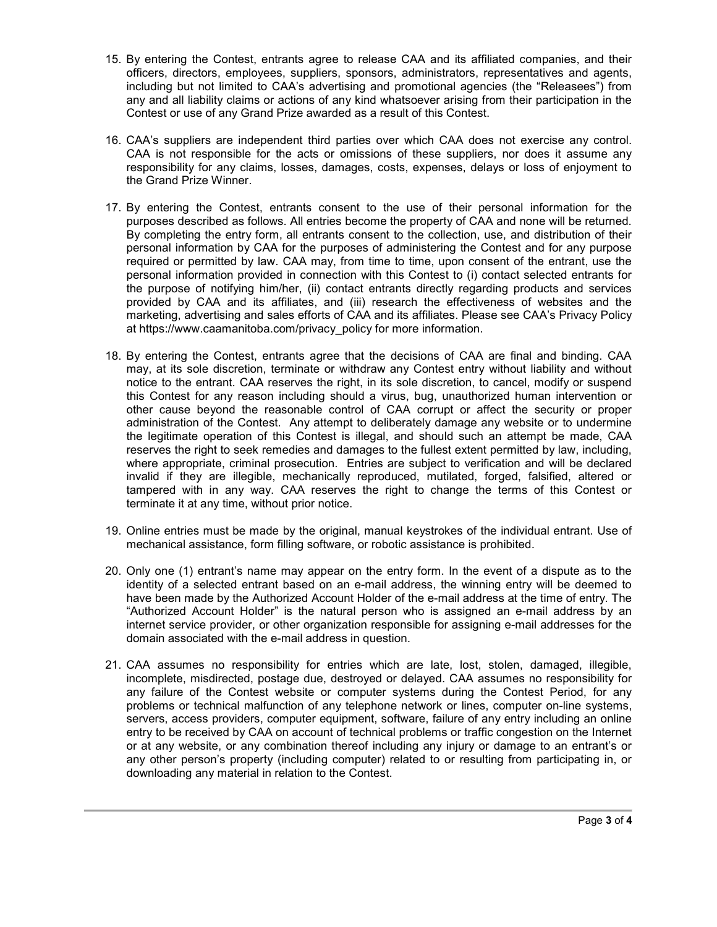- 15. By entering the Contest, entrants agree to release CAA and its affiliated companies, and their officers, directors, employees, suppliers, sponsors, administrators, representatives and agents, including but not limited to CAA's advertising and promotional agencies (the "Releasees") from any and all liability claims or actions of any kind whatsoever arising from their participation in the Contest or use of any Grand Prize awarded as a result of this Contest.
- 16. CAA's suppliers are independent third parties over which CAA does not exercise any control. CAA is not responsible for the acts or omissions of these suppliers, nor does it assume any responsibility for any claims, losses, damages, costs, expenses, delays or loss of enjoyment to the Grand Prize Winner.
- 17. By entering the Contest, entrants consent to the use of their personal information for the purposes described as follows. All entries become the property of CAA and none will be returned. By completing the entry form, all entrants consent to the collection, use, and distribution of their personal information by CAA for the purposes of administering the Contest and for any purpose required or permitted by law. CAA may, from time to time, upon consent of the entrant, use the personal information provided in connection with this Contest to (i) contact selected entrants for the purpose of notifying him/her, (ii) contact entrants directly regarding products and services provided by CAA and its affiliates, and (iii) research the effectiveness of websites and the marketing, advertising and sales efforts of CAA and its affiliates. Please see CAA's Privacy Policy at https://www.caamanitoba.com/privacy\_policy for more information.
- 18. By entering the Contest, entrants agree that the decisions of CAA are final and binding. CAA may, at its sole discretion, terminate or withdraw any Contest entry without liability and without notice to the entrant. CAA reserves the right, in its sole discretion, to cancel, modify or suspend this Contest for any reason including should a virus, bug, unauthorized human intervention or other cause beyond the reasonable control of CAA corrupt or affect the security or proper administration of the Contest. Any attempt to deliberately damage any website or to undermine the legitimate operation of this Contest is illegal, and should such an attempt be made, CAA reserves the right to seek remedies and damages to the fullest extent permitted by law, including, where appropriate, criminal prosecution. Entries are subject to verification and will be declared invalid if they are illegible, mechanically reproduced, mutilated, forged, falsified, altered or tampered with in any way. CAA reserves the right to change the terms of this Contest or terminate it at any time, without prior notice.
- 19. Online entries must be made by the original, manual keystrokes of the individual entrant. Use of mechanical assistance, form filling software, or robotic assistance is prohibited.
- 20. Only one (1) entrant's name may appear on the entry form. In the event of a dispute as to the identity of a selected entrant based on an e-mail address, the winning entry will be deemed to have been made by the Authorized Account Holder of the e-mail address at the time of entry. The "Authorized Account Holder" is the natural person who is assigned an e-mail address by an internet service provider, or other organization responsible for assigning e-mail addresses for the domain associated with the e-mail address in question.
- 21. CAA assumes no responsibility for entries which are late, lost, stolen, damaged, illegible, incomplete, misdirected, postage due, destroyed or delayed. CAA assumes no responsibility for any failure of the Contest website or computer systems during the Contest Period, for any problems or technical malfunction of any telephone network or lines, computer on-line systems, servers, access providers, computer equipment, software, failure of any entry including an online entry to be received by CAA on account of technical problems or traffic congestion on the Internet or at any website, or any combination thereof including any injury or damage to an entrant's or any other person's property (including computer) related to or resulting from participating in, or downloading any material in relation to the Contest.